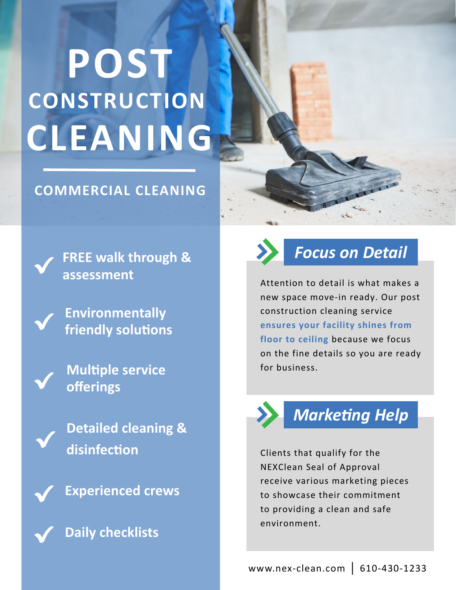# **CONSTRUCTION POST CLEANING**

#### **COMMERCIAL CLEANING**

**FREE walk through & assessment** 

**Environmentally friendly solutions** 

**Multiple service offerings** 

**Detailed cleaning & disinfecƟon** 



**Daily checklists** 



## *Focus on Detail*

Attention to detail is what makes a new space move‐in ready. Our post construction cleaning service **ensures your facility shines from floor to ceiling** because we focus on the fine details so you are ready for business.



## **Marketing Help**

Clients that qualify for the NEXClean Seal of Approval receive various marketing pieces to showcase their commitment to providing a clean and safe environment.